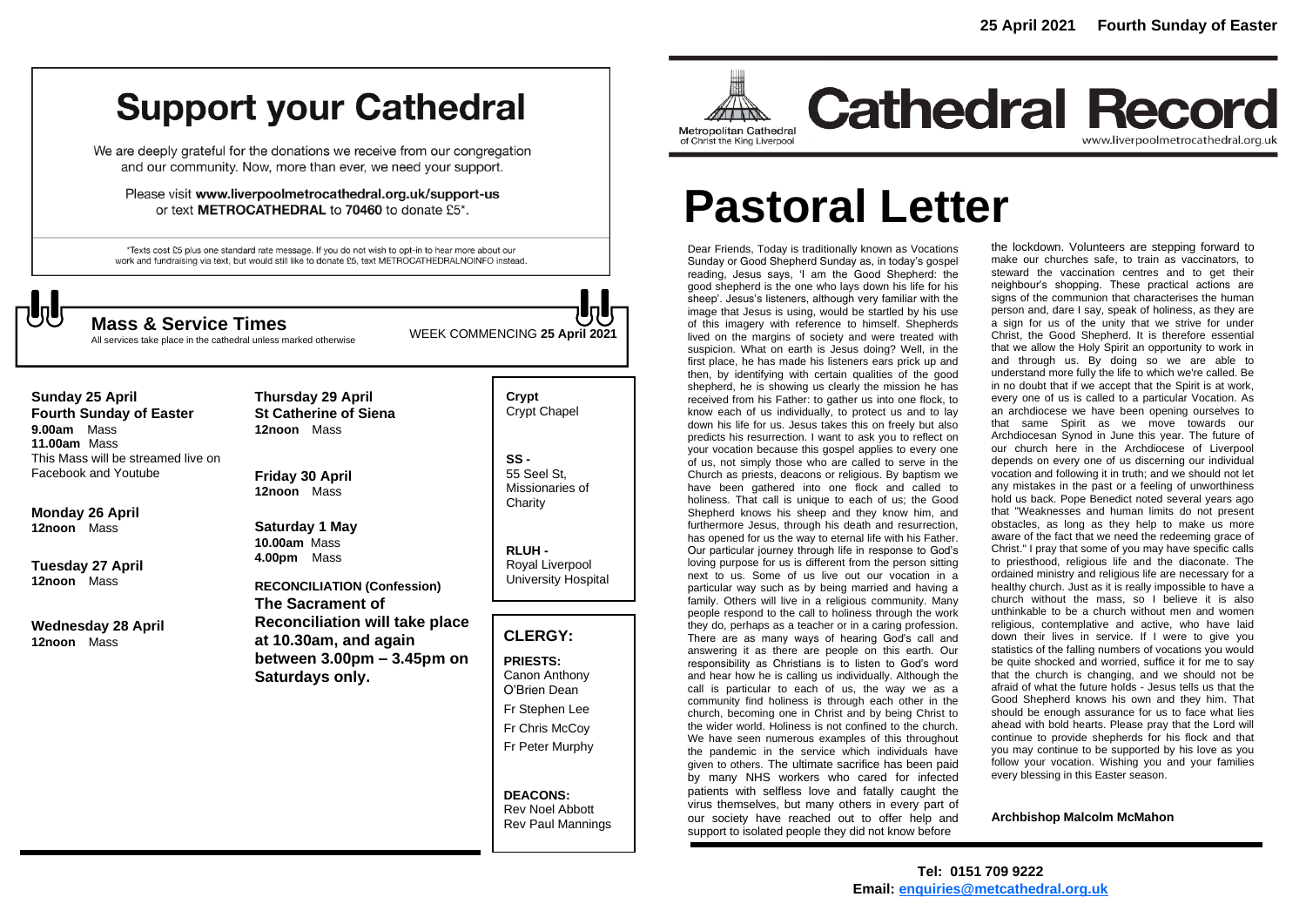# **Support your Cathedral**

We are deeply grateful for the donations we receive from our congregation and our community. Now, more than ever, we need your support.

Please visit www.liverpoolmetrocathedral.org.uk/support-us or text METROCATHEDRAL to 70460 to donate £5\*.

\*Texts cost £5 plus one standard rate message. If you do not wish to opt-in to hear more about our work and fundraising via text, but would still like to donate £5, text METROCATHEDRALNOINFO instead.



WEEK COMMENCING **<sup>25</sup> April <sup>2021</sup> Mass & Service Times**

All services take place in the cathedral unless marked otherwise

**Thursday 29 April**

**Sunday 25 April Fourth Sunday of Easter 9.00am** Mass **11.00am** Mass This Mass will be streamed live on Facebook and Youtube

**Monday 26 April 12noon** Mass

**Tuesday 27 April 12noon** Mass

**Wednesday 28 April 12noon** Mass

**St Catherine of Siena 12noon** Mass

**Friday 30 April 12noon** Mass

**Saturday 1 May 10.00am** Mass **4.00pm** Mass

**RECONCILIATION (Confession) The Sacrament of Reconciliation will take place at 10.30am, and again between 3.00pm – 3.45pm on Saturdays only.**

**Crypt**  Crypt Chapel

**SS -** 55 Seel St, Missionaries of **Charity** 

**RLUH -** Royal Liverpool University Hospital

# **CLERGY:**

**PRIESTS:** Canon Anthony O'Brien *Dean*

Fr Stephen Lee

Fr Chris McCoy Fr Peter Murphy

**DEACONS:** Rev Noel Abbott Rev Paul Mannings



**Cathedral Record** www.liverpoolmetrocathedral.org.uk

# **Pastoral Letter**

Dear Friends, Today is traditionally known as Vocations Sunday or Good Shepherd Sunday as, in today's gospel reading, Jesus says, 'I am the Good Shepherd: the good shepherd is the one who lays down his life for his sheep'. Jesus's listeners, although very familiar with the image that Jesus is using, would be startled by his use of this imagery with reference to himself. Shepherds lived on the margins of society and were treated with suspicion. What on earth is Jesus doing? Well, in the first place, he has made his listeners ears prick up and then, by identifying with certain qualities of the good shepherd, he is showing us clearly the mission he has received from his Father: to gather us into one flock, to know each of us individually, to protect us and to lay down his life for us. Jesus takes this on freely but also predicts his resurrection. I want to ask you to reflect on your vocation because this gospel applies to every one of us, not simply those who are called to serve in the Church as priests, deacons or religious. By baptism we have been gathered into one flock and called to holiness. That call is unique to each of us; the Good Shepherd knows his sheep and they know him, and furthermore Jesus, through his death and resurrection. has opened for us the way to eternal life with his Father. Our particular journey through life in response to God's loving purpose for us is different from the person sitting next to us. Some of us live out our vocation in a particular way such as by being married and having a family. Others will live in a religious community. Many people respond to the call to holiness through the work they do, perhaps as a teacher or in a caring profession. There are as many ways of hearing God's call and answering it as there are people on this earth. Our responsibility as Christians is to listen to God's word and hear how he is calling us individually. Although the call is particular to each of us, the way we as a community find holiness is through each other in the church, becoming one in Christ and by being Christ to the wider world. Holiness is not confined to the church. We have seen numerous examples of this throughout the pandemic in the service which individuals have given to others. The ultimate sacrifice has been paid by many NHS workers who cared for infected patients with selfless love and fatally caught the virus themselves, but many others in every part of our society have reached out to offer help and support to isolated people they did not know before

the lockdown. Volunteers are stepping forward to make our churches safe, to train as vaccinators, to steward the vaccination centres and to get their neighbour's shopping. These practical actions are signs of the communion that characterises the human person and, dare I say, speak of holiness, as they are a sign for us of the unity that we strive for under Christ, the Good Shepherd. It is therefore essential that we allow the Holy Spirit an opportunity to work in and through us. By doing so we are able to understand more fully the life to which we're called. Be in no doubt that if we accept that the Spirit is at work, every one of us is called to a particular Vocation. As an archdiocese we have been opening ourselves to that same Spirit as we move towards our Archdiocesan Synod in June this year. The future of our church here in the Archdiocese of Liverpool depends on every one of us discerning our individual vocation and following it in truth; and we should not let any mistakes in the past or a feeling of unworthiness hold us back. Pope Benedict noted several years ago that "Weaknesses and human limits do not present obstacles, as long as they help to make us more aware of the fact that we need the redeeming grace of Christ." I pray that some of you may have specific calls to priesthood, religious life and the diaconate. The ordained ministry and religious life are necessary for a healthy church. Just as it is really impossible to have a church without the mass, so I believe it is also unthinkable to be a church without men and women religious, contemplative and active, who have laid down their lives in service. If I were to give you statistics of the falling numbers of vocations you would be quite shocked and worried, suffice it for me to say that the church is changing, and we should not be afraid of what the future holds - Jesus tells us that the Good Shepherd knows his own and they him. That should be enough assurance for us to face what lies ahead with bold hearts. Please pray that the Lord will continue to provide shepherds for his flock and that you may continue to be supported by his love as you follow your vocation. Wishing you and your families every blessing in this Easter season.

**Archbishop Malcolm McMahon**